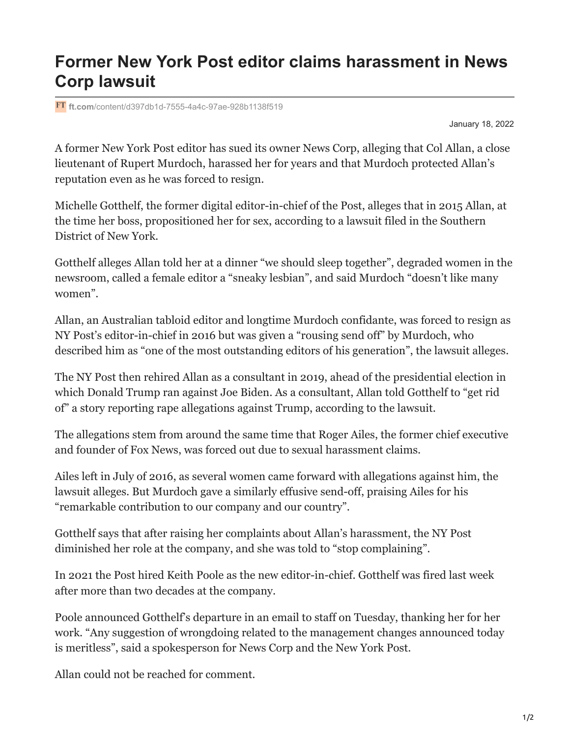## **Former New York Post editor claims harassment in News Corp lawsuit**

**ft.com**[/content/d397db1d-7555-4a4c-97ae-928b1138f519](https://www.ft.com/content/d397db1d-7555-4a4c-97ae-928b1138f519)

January 18, 2022

A former New York Post editor has sued its owner News Corp, alleging that Col Allan, a close lieutenant of Rupert Murdoch, harassed her for years and that Murdoch protected Allan's reputation even as he was forced to resign.

Michelle Gotthelf, the former digital editor-in-chief of the Post, alleges that in 2015 Allan, at the time her boss, propositioned her for sex, according to a lawsuit filed in the Southern District of New York.

Gotthelf alleges Allan told her at a dinner "we should sleep together", degraded women in the newsroom, called a female editor a "sneaky lesbian", and said Murdoch "doesn't like many women".

Allan, an Australian tabloid editor and longtime Murdoch confidante, was forced to resign as NY Post's editor-in-chief in 2016 but was given a "rousing send off" by Murdoch, who described him as "one of the most outstanding editors of his generation", the lawsuit alleges.

The NY Post then rehired Allan as a consultant in 2019, ahead of the presidential election in which Donald Trump ran against Joe Biden. As a consultant, Allan told Gotthelf to "get rid of" a story reporting rape allegations against Trump, according to the lawsuit.

The allegations stem from around the same time that Roger Ailes, the former chief executive and founder of Fox News, was forced out due to sexual harassment claims.

Ailes left in July of 2016, as several women came forward with allegations against him, the lawsuit alleges. But Murdoch gave a similarly effusive send-off, praising Ailes for his "remarkable contribution to our company and our country".

Gotthelf says that after raising her complaints about Allan's harassment, the NY Post diminished her role at the company, and she was told to "stop complaining".

In 2021 the Post hired Keith Poole as the new editor-in-chief. Gotthelf was fired last week after more than two decades at the company.

Poole announced Gotthelf's departure in an email to staff on Tuesday, thanking her for her work. "Any suggestion of wrongdoing related to the management changes announced today is meritless", said a spokesperson for News Corp and the New York Post.

Allan could not be reached for comment.